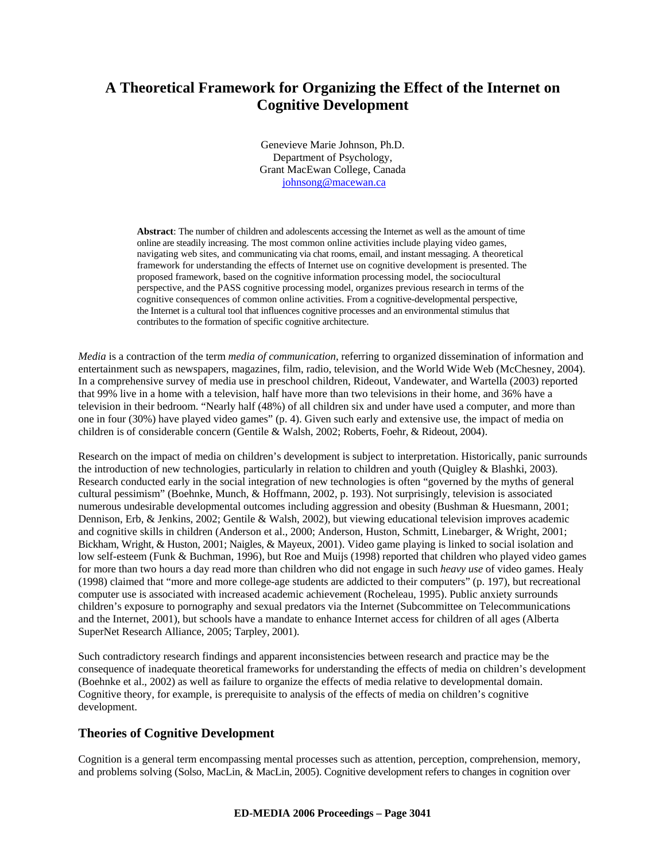# **A Theoretical Framework for Organizing the Effect of the Internet on Cognitive Development**

Genevieve Marie Johnson, Ph.D. Department of Psychology, Grant MacEwan College, Canada johnsong@macewan.ca

**Abstract**: The number of children and adolescents accessing the Internet as well as the amount of time online are steadily increasing. The most common online activities include playing video games, navigating web sites, and communicating via chat rooms, email, and instant messaging. A theoretical framework for understanding the effects of Internet use on cognitive development is presented. The proposed framework, based on the cognitive information processing model, the sociocultural perspective, and the PASS cognitive processing model, organizes previous research in terms of the cognitive consequences of common online activities. From a cognitive-developmental perspective, the Internet is a cultural tool that influences cognitive processes and an environmental stimulus that contributes to the formation of specific cognitive architecture.

*Media* is a contraction of the term *media of communication*, referring to organized dissemination of information and entertainment such as newspapers, magazines, film, radio, television, and the World Wide Web (McChesney, 2004). In a comprehensive survey of media use in preschool children, Rideout, Vandewater, and Wartella (2003) reported that 99% live in a home with a television, half have more than two televisions in their home, and 36% have a television in their bedroom. "Nearly half (48%) of all children six and under have used a computer, and more than one in four (30%) have played video games" (p. 4). Given such early and extensive use, the impact of media on children is of considerable concern (Gentile & Walsh, 2002; Roberts, Foehr, & Rideout, 2004).

Research on the impact of media on children's development is subject to interpretation. Historically, panic surrounds the introduction of new technologies, particularly in relation to children and youth (Quigley & Blashki, 2003). Research conducted early in the social integration of new technologies is often "governed by the myths of general cultural pessimism" (Boehnke, Munch, & Hoffmann, 2002, p. 193). Not surprisingly, television is associated numerous undesirable developmental outcomes including aggression and obesity (Bushman & Huesmann, 2001; Dennison, Erb, & Jenkins, 2002; Gentile & Walsh, 2002), but viewing educational television improves academic and cognitive skills in children (Anderson et al., 2000; Anderson, Huston, Schmitt, Linebarger, & Wright, 2001; Bickham, Wright, & Huston, 2001; Naigles, & Mayeux, 2001). Video game playing is linked to social isolation and low self-esteem (Funk & Buchman, 1996), but Roe and Muijs (1998) reported that children who played video games for more than two hours a day read more than children who did not engage in such *heavy use* of video games. Healy (1998) claimed that "more and more college-age students are addicted to their computers" (p. 197), but recreational computer use is associated with increased academic achievement (Rocheleau, 1995). Public anxiety surrounds children's exposure to pornography and sexual predators via the Internet (Subcommittee on Telecommunications and the Internet, 2001), but schools have a mandate to enhance Internet access for children of all ages (Alberta SuperNet Research Alliance, 2005; Tarpley, 2001).

Such contradictory research findings and apparent inconsistencies between research and practice may be the consequence of inadequate theoretical frameworks for understanding the effects of media on children's development (Boehnke et al., 2002) as well as failure to organize the effects of media relative to developmental domain. Cognitive theory, for example, is prerequisite to analysis of the effects of media on children's cognitive development.

## **Theories of Cognitive Development**

Cognition is a general term encompassing mental processes such as attention, perception, comprehension, memory, and problems solving (Solso, MacLin, & MacLin, 2005). Cognitive development refers to changes in cognition over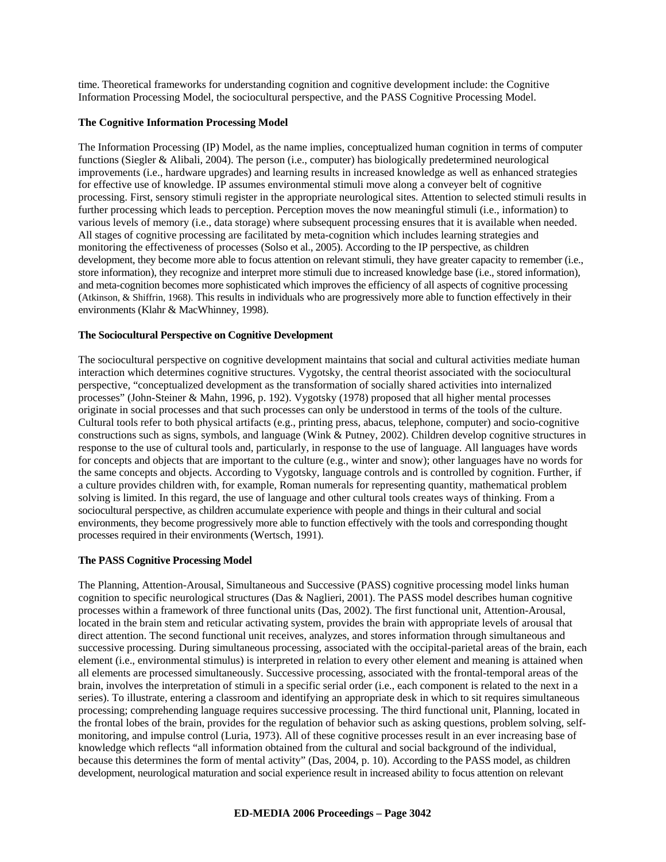time. Theoretical frameworks for understanding cognition and cognitive development include: the Cognitive Information Processing Model, the sociocultural perspective, and the PASS Cognitive Processing Model.

#### **The Cognitive Information Processing Model**

The Information Processing (IP) Model, as the name implies, conceptualized human cognition in terms of computer functions (Siegler & Alibali, 2004). The person (i.e., computer) has biologically predetermined neurological improvements (i.e., hardware upgrades) and learning results in increased knowledge as well as enhanced strategies for effective use of knowledge. IP assumes environmental stimuli move along a conveyer belt of cognitive processing. First, sensory stimuli register in the appropriate neurological sites. Attention to selected stimuli results in further processing which leads to perception. Perception moves the now meaningful stimuli (i.e., information) to various levels of memory (i.e., data storage) where subsequent processing ensures that it is available when needed. All stages of cognitive processing are facilitated by meta-cognition which includes learning strategies and monitoring the effectiveness of processes (Solso et al., 2005). According to the IP perspective, as children development, they become more able to focus attention on relevant stimuli, they have greater capacity to remember (i.e., store information), they recognize and interpret more stimuli due to increased knowledge base (i.e., stored information), and meta-cognition becomes more sophisticated which improves the efficiency of all aspects of cognitive processing (Atkinson, & Shiffrin, 1968). This results in individuals who are progressively more able to function effectively in their environments (Klahr & MacWhinney, 1998).

#### **The Sociocultural Perspective on Cognitive Development**

The sociocultural perspective on cognitive development maintains that social and cultural activities mediate human interaction which determines cognitive structures. Vygotsky, the central theorist associated with the sociocultural perspective, "conceptualized development as the transformation of socially shared activities into internalized processes" (John-Steiner & Mahn, 1996, p. 192). Vygotsky (1978) proposed that all higher mental processes originate in social processes and that such processes can only be understood in terms of the tools of the culture. Cultural tools refer to both physical artifacts (e.g., printing press, abacus, telephone, computer) and socio-cognitive constructions such as signs, symbols, and language (Wink & Putney, 2002). Children develop cognitive structures in response to the use of cultural tools and, particularly, in response to the use of language. All languages have words for concepts and objects that are important to the culture (e.g., winter and snow); other languages have no words for the same concepts and objects. According to Vygotsky, language controls and is controlled by cognition. Further, if a culture provides children with, for example, Roman numerals for representing quantity, mathematical problem solving is limited. In this regard, the use of language and other cultural tools creates ways of thinking. From a sociocultural perspective, as children accumulate experience with people and things in their cultural and social environments, they become progressively more able to function effectively with the tools and corresponding thought processes required in their environments (Wertsch, 1991).

### **The PASS Cognitive Processing Model**

The Planning, Attention-Arousal, Simultaneous and Successive (PASS) cognitive processing model links human cognition to specific neurological structures (Das & Naglieri, 2001). The PASS model describes human cognitive processes within a framework of three functional units (Das, 2002). The first functional unit, Attention-Arousal, located in the brain stem and reticular activating system, provides the brain with appropriate levels of arousal that direct attention. The second functional unit receives, analyzes, and stores information through simultaneous and successive processing. During simultaneous processing, associated with the occipital-parietal areas of the brain, each element (i.e., environmental stimulus) is interpreted in relation to every other element and meaning is attained when all elements are processed simultaneously. Successive processing, associated with the frontal-temporal areas of the brain, involves the interpretation of stimuli in a specific serial order (i.e., each component is related to the next in a series). To illustrate, entering a classroom and identifying an appropriate desk in which to sit requires simultaneous processing; comprehending language requires successive processing. The third functional unit, Planning, located in the frontal lobes of the brain, provides for the regulation of behavior such as asking questions, problem solving, selfmonitoring, and impulse control (Luria, 1973). All of these cognitive processes result in an ever increasing base of knowledge which reflects "all information obtained from the cultural and social background of the individual, because this determines the form of mental activity" (Das, 2004, p. 10). According to the PASS model, as children development, neurological maturation and social experience result in increased ability to focus attention on relevant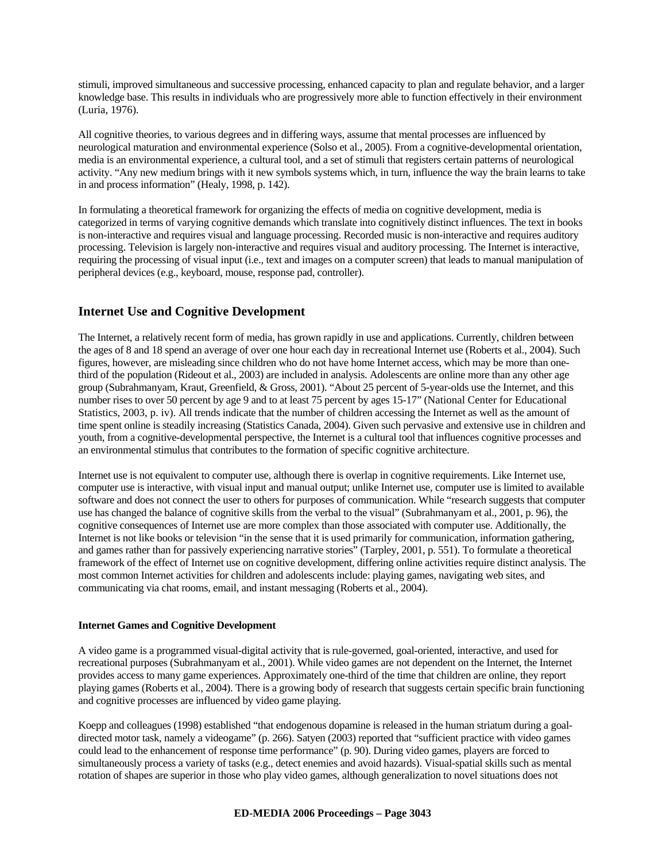stimuli, improved simultaneous and successive processing, enhanced capacity to plan and regulate behavior, and a larger knowledge base. This results in individuals who are progressively more able to function effectively in their environment (Luria, 1976).

All cognitive theories, to various degrees and in differing ways, assume that mental processes are influenced by neurological maturation and environmental experience (Solso et al., 2005). From a cognitive-developmental orientation, media is an environmental experience, a cultural tool, and a set of stimuli that registers certain patterns of neurological activity. "Any new medium brings with it new symbols systems which, in turn, influence the way the brain learns to take in and process information" (Healy, 1998, p. 142).

In formulating a theoretical framework for organizing the effects of media on cognitive development, media is categorized in terms of varying cognitive demands which translate into cognitively distinct influences. The text in books is non-interactive and requires visual and language processing. Recorded music is non-interactive and requires auditory processing. Television is largely non-interactive and requires visual and auditory processing. The Internet is interactive, requiring the processing of visual input (i.e., text and images on a computer screen) that leads to manual manipulation of peripheral devices (e.g., keyboard, mouse, response pad, controller).

## **Internet Use and Cognitive Development**

The Internet, a relatively recent form of media, has grown rapidly in use and applications. Currently, children between the ages of 8 and 18 spend an average of over one hour each day in recreational Internet use (Roberts et al., 2004). Such figures, however, are misleading since children who do not have home Internet access, which may be more than onethird of the population (Rideout et al., 2003) are included in analysis. Adolescents are online more than any other age group (Subrahmanyam, Kraut, Greenfield, & Gross, 2001). "About 25 percent of 5-year-olds use the Internet, and this number rises to over 50 percent by age 9 and to at least 75 percent by ages 15-17" (National Center for Educational Statistics, 2003, p. iv). All trends indicate that the number of children accessing the Internet as well as the amount of time spent online is steadily increasing (Statistics Canada, 2004). Given such pervasive and extensive use in children and youth, from a cognitive-developmental perspective, the Internet is a cultural tool that influences cognitive processes and an environmental stimulus that contributes to the formation of specific cognitive architecture.

Internet use is not equivalent to computer use, although there is overlap in cognitive requirements. Like Internet use, computer use is interactive, with visual input and manual output; unlike Internet use, computer use is limited to available software and does not connect the user to others for purposes of communication. While "research suggests that computer use has changed the balance of cognitive skills from the verbal to the visual" (Subrahmanyam et al., 2001, p. 96), the cognitive consequences of Internet use are more complex than those associated with computer use. Additionally, the Internet is not like books or television "in the sense that it is used primarily for communication, information gathering, and games rather than for passively experiencing narrative stories" (Tarpley, 2001, p. 551). To formulate a theoretical framework of the effect of Internet use on cognitive development, differing online activities require distinct analysis. The most common Internet activities for children and adolescents include: playing games, navigating web sites, and communicating via chat rooms, email, and instant messaging (Roberts et al., 2004).

#### **Internet Games and Cognitive Development**

A video game is a programmed visual-digital activity that is rule-governed, goal-oriented, interactive, and used for recreational purposes (Subrahmanyam et al., 2001). While video games are not dependent on the Internet, the Internet provides access to many game experiences. Approximately one-third of the time that children are online, they report playing games (Roberts et al., 2004). There is a growing body of research that suggests certain specific brain functioning and cognitive processes are influenced by video game playing.

Koepp and colleagues (1998) established "that endogenous dopamine is released in the human striatum during a goaldirected motor task, namely a videogame" (p. 266). Satyen (2003) reported that "sufficient practice with video games could lead to the enhancement of response time performance" (p. 90). During video games, players are forced to simultaneously process a variety of tasks (e.g., detect enemies and avoid hazards). Visual-spatial skills such as mental rotation of shapes are superior in those who play video games, although generalization to novel situations does not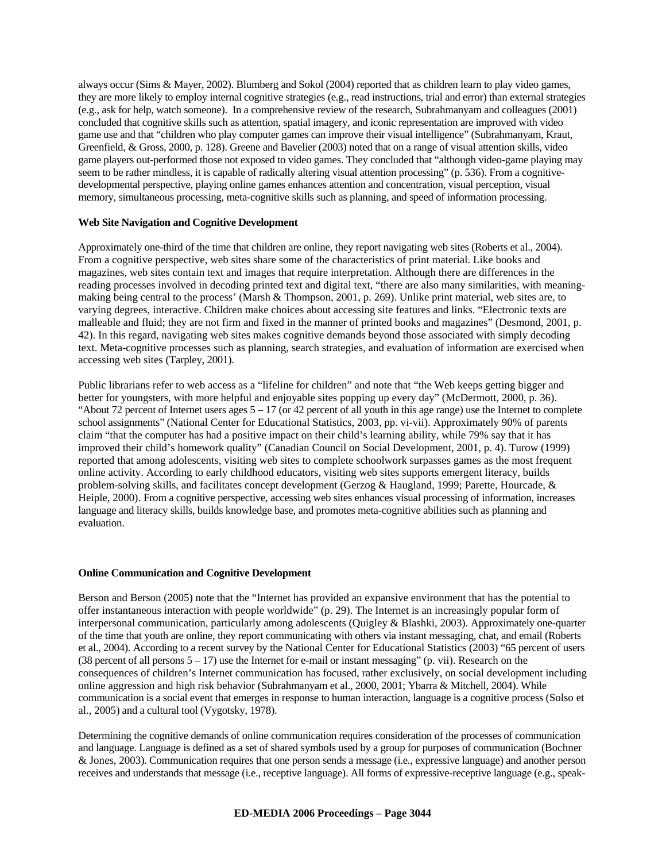always occur (Sims & Mayer, 2002). Blumberg and Sokol (2004) reported that as children learn to play video games, they are more likely to employ internal cognitive strategies (e.g., read instructions, trial and error) than external strategies (e.g., ask for help, watch someone). In a comprehensive review of the research, Subrahmanyam and colleagues (2001) concluded that cognitive skills such as attention, spatial imagery, and iconic representation are improved with video game use and that "children who play computer games can improve their visual intelligence" (Subrahmanyam, Kraut, Greenfield, & Gross, 2000, p. 128). Greene and Bavelier (2003) noted that on a range of visual attention skills, video game players out-performed those not exposed to video games. They concluded that "although video-game playing may seem to be rather mindless, it is capable of radically altering visual attention processing" (p. 536). From a cognitivedevelopmental perspective, playing online games enhances attention and concentration, visual perception, visual memory, simultaneous processing, meta-cognitive skills such as planning, and speed of information processing.

#### **Web Site Navigation and Cognitive Development**

Approximately one-third of the time that children are online, they report navigating web sites (Roberts et al., 2004). From a cognitive perspective, web sites share some of the characteristics of print material. Like books and magazines, web sites contain text and images that require interpretation. Although there are differences in the reading processes involved in decoding printed text and digital text, "there are also many similarities, with meaningmaking being central to the process' (Marsh & Thompson, 2001, p. 269). Unlike print material, web sites are, to varying degrees, interactive. Children make choices about accessing site features and links. "Electronic texts are malleable and fluid; they are not firm and fixed in the manner of printed books and magazines" (Desmond, 2001, p. 42). In this regard, navigating web sites makes cognitive demands beyond those associated with simply decoding text. Meta-cognitive processes such as planning, search strategies, and evaluation of information are exercised when accessing web sites (Tarpley, 2001).

Public librarians refer to web access as a "lifeline for children" and note that "the Web keeps getting bigger and better for youngsters, with more helpful and enjoyable sites popping up every day" (McDermott, 2000, p. 36). "About 72 percent of Internet users ages  $5 - 17$  (or 42 percent of all youth in this age range) use the Internet to complete school assignments" (National Center for Educational Statistics, 2003, pp. vi-vii). Approximately 90% of parents claim "that the computer has had a positive impact on their child's learning ability, while 79% say that it has improved their child's homework quality" (Canadian Council on Social Development, 2001, p. 4). Turow (1999) reported that among adolescents, visiting web sites to complete schoolwork surpasses games as the most frequent online activity. According to early childhood educators, visiting web sites supports emergent literacy, builds problem-solving skills, and facilitates concept development (Gerzog & Haugland, 1999; Parette, Hourcade, & Heiple, 2000). From a cognitive perspective, accessing web sites enhances visual processing of information, increases language and literacy skills, builds knowledge base, and promotes meta-cognitive abilities such as planning and evaluation.

#### **Online Communication and Cognitive Development**

Berson and Berson (2005) note that the "Internet has provided an expansive environment that has the potential to offer instantaneous interaction with people worldwide" (p. 29). The Internet is an increasingly popular form of interpersonal communication, particularly among adolescents (Quigley & Blashki, 2003). Approximately one-quarter of the time that youth are online, they report communicating with others via instant messaging, chat, and email (Roberts et al., 2004). According to a recent survey by the National Center for Educational Statistics (2003) "65 percent of users (38 percent of all persons  $5 - 17$ ) use the Internet for e-mail or instant messaging" (p. vii). Research on the consequences of children's Internet communication has focused, rather exclusively, on social development including online aggression and high risk behavior (Subrahmanyam et al., 2000, 2001; Ybarra & Mitchell, 2004). While communication is a social event that emerges in response to human interaction, language is a cognitive process (Solso et al., 2005) and a cultural tool (Vygotsky, 1978).

Determining the cognitive demands of online communication requires consideration of the processes of communication and language. Language is defined as a set of shared symbols used by a group for purposes of communication (Bochner & Jones, 2003). Communication requires that one person sends a message (i.e., expressive language) and another person receives and understands that message (i.e., receptive language). All forms of expressive-receptive language (e.g., speak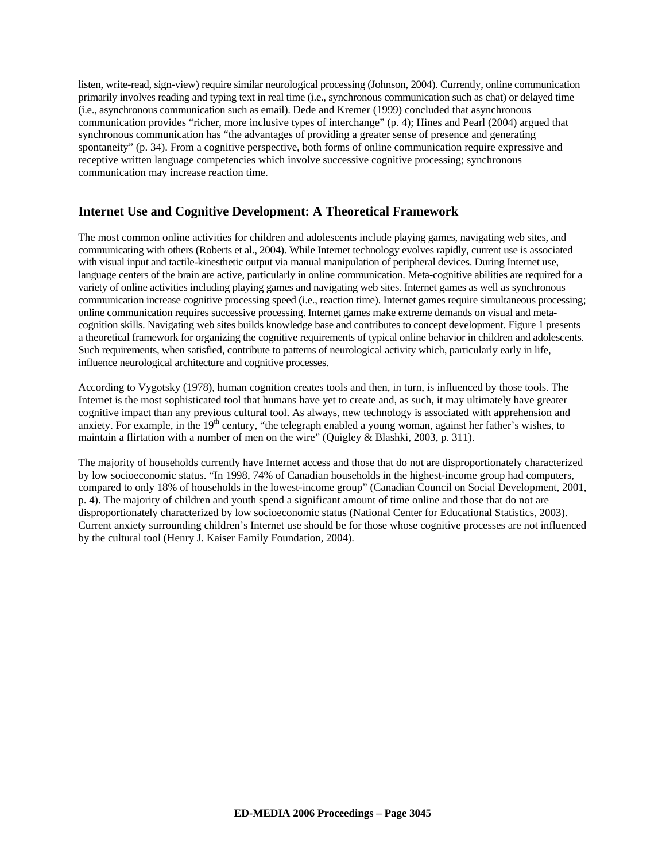listen, write-read, sign-view) require similar neurological processing (Johnson, 2004). Currently, online communication primarily involves reading and typing text in real time (i.e., synchronous communication such as chat) or delayed time (i.e., asynchronous communication such as email). Dede and Kremer (1999) concluded that asynchronous communication provides "richer, more inclusive types of interchange" (p. 4); Hines and Pearl (2004) argued that synchronous communication has "the advantages of providing a greater sense of presence and generating spontaneity" (p. 34). From a cognitive perspective, both forms of online communication require expressive and receptive written language competencies which involve successive cognitive processing; synchronous communication may increase reaction time.

## **Internet Use and Cognitive Development: A Theoretical Framework**

The most common online activities for children and adolescents include playing games, navigating web sites, and communicating with others (Roberts et al., 2004). While Internet technology evolves rapidly, current use is associated with visual input and tactile-kinesthetic output via manual manipulation of peripheral devices. During Internet use, language centers of the brain are active, particularly in online communication. Meta-cognitive abilities are required for a variety of online activities including playing games and navigating web sites. Internet games as well as synchronous communication increase cognitive processing speed (i.e., reaction time). Internet games require simultaneous processing; online communication requires successive processing. Internet games make extreme demands on visual and metacognition skills. Navigating web sites builds knowledge base and contributes to concept development. Figure 1 presents a theoretical framework for organizing the cognitive requirements of typical online behavior in children and adolescents. Such requirements, when satisfied, contribute to patterns of neurological activity which, particularly early in life, influence neurological architecture and cognitive processes.

According to Vygotsky (1978), human cognition creates tools and then, in turn, is influenced by those tools. The Internet is the most sophisticated tool that humans have yet to create and, as such, it may ultimately have greater cognitive impact than any previous cultural tool. As always, new technology is associated with apprehension and anxiety. For example, in the 19<sup>th</sup> century, "the telegraph enabled a young woman, against her father's wishes, to maintain a flirtation with a number of men on the wire" (Quigley & Blashki, 2003, p. 311).

The majority of households currently have Internet access and those that do not are disproportionately characterized by low socioeconomic status. "In 1998, 74% of Canadian households in the highest-income group had computers, compared to only 18% of households in the lowest-income group" (Canadian Council on Social Development, 2001, p. 4). The majority of children and youth spend a significant amount of time online and those that do not are disproportionately characterized by low socioeconomic status (National Center for Educational Statistics, 2003). Current anxiety surrounding children's Internet use should be for those whose cognitive processes are not influenced by the cultural tool (Henry J. Kaiser Family Foundation, 2004).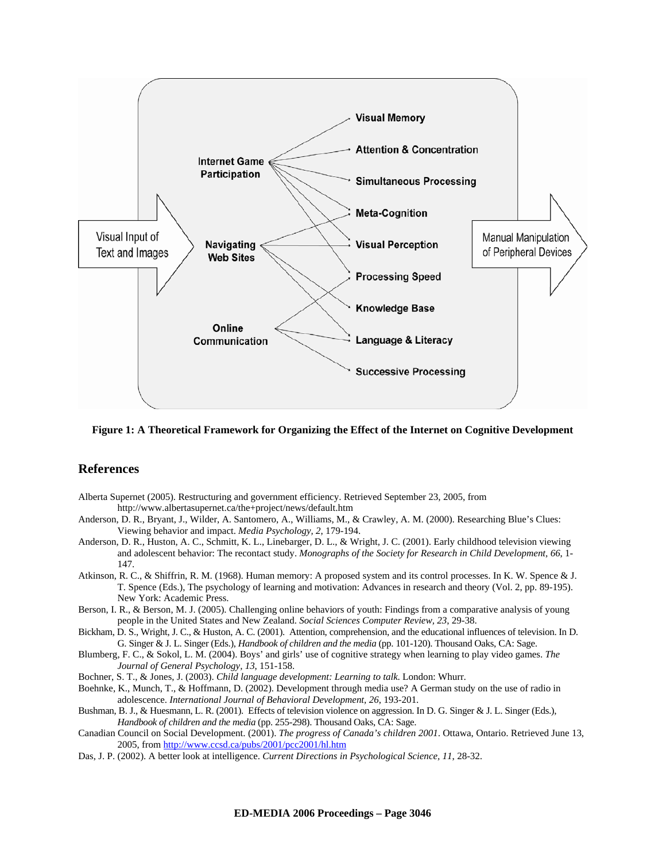

**Figure 1: A Theoretical Framework for Organizing the Effect of the Internet on Cognitive Development** 

## **References**

- Alberta Supernet (2005). Restructuring and government efficiency. Retrieved September 23, 2005, from http://www.albertasupernet.ca/the+project/news/default.htm
- Anderson, D. R., Bryant, J., Wilder, A. Santomero, A., Williams, M., & Crawley, A. M. (2000). Researching Blue's Clues: Viewing behavior and impact. *Media Psychology, 2*, 179-194.
- Anderson, D. R., Huston, A. C., Schmitt, K. L., Linebarger, D. L., & Wright, J. C. (2001). Early childhood television viewing and adolescent behavior: The recontact study. *Monographs of the Society for Research in Child Development, 66*, 1- 147.
- Atkinson, R. C., & Shiffrin, R. M. (1968). Human memory: A proposed system and its control processes. In K. W. Spence & J. T. Spence (Eds.), The psychology of learning and motivation: Advances in research and theory (Vol. 2, pp. 89-195). New York: Academic Press.
- Berson, I. R., & Berson, M. J. (2005). Challenging online behaviors of youth: Findings from a comparative analysis of young people in the United States and New Zealand. *Social Sciences Computer Review, 23*, 29-38.
- Bickham, D. S., Wright, J. C., & Huston, A. C. (2001). Attention, comprehension, and the educational influences of television. In D. G. Singer & J. L. Singer (Eds.), *Handbook of children and the media* (pp. 101-120). Thousand Oaks, CA: Sage.
- Blumberg, F. C., & Sokol, L. M. (2004). Boys' and girls' use of cognitive strategy when learning to play video games. *The Journal of General Psychology, 13*, 151-158.
- Bochner, S. T., & Jones, J. (2003). *Child language development: Learning to talk*. London: Whurr.
- Boehnke, K., Munch, T., & Hoffmann, D. (2002). Development through media use? A German study on the use of radio in adolescence. *International Journal of Behavioral Development, 26*, 193-201.
- Bushman, B. J., & Huesmann, L. R. (2001). Effects of television violence on aggression. In D. G. Singer & J. L. Singer (Eds.), *Handbook of children and the media* (pp. 255-298). Thousand Oaks, CA: Sage.
- Canadian Council on Social Development. (2001). *The progress of Canada's children 2001*. Ottawa, Ontario. Retrieved June 13, 2005, from http://www.ccsd.ca/pubs/2001/pcc2001/hl.htm
- Das, J. P. (2002). A better look at intelligence. *Current Directions in Psychological Science, 11*, 28-32.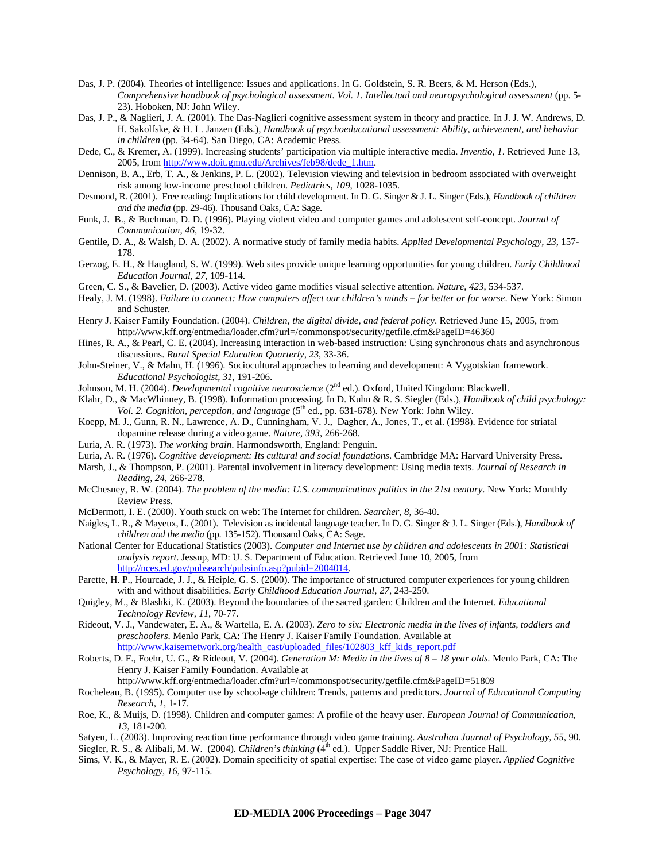- Das, J. P. (2004). Theories of intelligence: Issues and applications. In G. Goldstein, S. R. Beers, & M. Herson (Eds.), *Comprehensive handbook of psychological assessment. Vol. 1. Intellectual and neuropsychological assessment* (pp. 5- 23). Hoboken, NJ: John Wiley.
- Das, J. P., & Naglieri, J. A. (2001). The Das-Naglieri cognitive assessment system in theory and practice. In J. J. W. Andrews, D. H. Sakolfske, & H. L. Janzen (Eds.), *Handbook of psychoeducational assessment: Ability, achievement, and behavior in children* (pp. 34-64). San Diego, CA: Academic Press.
- Dede, C., & Kremer, A. (1999). Increasing students' participation via multiple interactive media. *Inventio, 1*. Retrieved June 13, 2005, from http://www.doit.gmu.edu/Archives/feb98/dede\_1.htm.
- Dennison, B. A., Erb, T. A., & Jenkins, P. L. (2002). Television viewing and television in bedroom associated with overweight risk among low-income preschool children. *Pediatrics, 109*, 1028-1035.
- Desmond, R. (2001). Free reading: Implications for child development. In D. G. Singer & J. L. Singer (Eds.), *Handbook of children and the media* (pp. 29-46). Thousand Oaks, CA: Sage.
- Funk, J. B., & Buchman, D. D. (1996). Playing violent video and computer games and adolescent self-concept. *Journal of Communication, 46*, 19-32.
- Gentile, D. A., & Walsh, D. A. (2002). A normative study of family media habits. *Applied Developmental Psychology, 23*, 157- 178.
- Gerzog, E. H., & Haugland, S. W. (1999). Web sites provide unique learning opportunities for young children. *Early Childhood Education Journal, 27*, 109-114.
- Green, C. S., & Bavelier, D. (2003). Active video game modifies visual selective attention. *Nature, 423*, 534-537.
- Healy, J. M. (1998). *Failure to connect: How computers affect our children's minds for better or for worse*. New York: Simon and Schuster.
- Henry J. Kaiser Family Foundation. (2004). *Children, the digital divide, and federal policy*. Retrieved June 15, 2005, from http://www.kff.org/entmedia/loader.cfm?url=/commonspot/security/getfile.cfm&PageID=46360
- Hines, R. A., & Pearl, C. E. (2004). Increasing interaction in web-based instruction: Using synchronous chats and asynchronous discussions. *Rural Special Education Quarterly, 23*, 33-36.
- John-Steiner, V., & Mahn, H. (1996). Sociocultural approaches to learning and development: A Vygotskian framework. *Educational Psychologist, 31*, 191-206.
- Johnson, M. H. (2004). *Developmental cognitive neuroscience* (2nd ed.). Oxford, United Kingdom: Blackwell.
- Klahr, D., & MacWhinney, B. (1998). Information processing. In D. Kuhn & R. S. Siegler (Eds.), *Handbook of child psychology:*  Vol. 2. Cognition, perception, and language (5<sup>th</sup> ed., pp. 631-678). New York: John Wiley.
- Koepp, M. J., Gunn, R. N., Lawrence, A. D., Cunningham, V. J., Dagher, A., Jones, T., et al. (1998). Evidence for striatal dopamine release during a video game. *Nature, 393*, 266-268.
- Luria, A. R. (1973). *The working brain*. Harmondsworth, England: Penguin.
- Luria, A. R. (1976). *Cognitive development: Its cultural and social foundations*. Cambridge MA: Harvard University Press.
- Marsh, J., & Thompson, P. (2001). Parental involvement in literacy development: Using media texts. *Journal of Research in Reading, 24*, 266-278.
- McChesney, R. W. (2004). *The problem of the media: U.S. communications politics in the 21st century*. New York: Monthly Review Press.
- McDermott, I. E. (2000). Youth stuck on web: The Internet for children. *Searcher, 8*, 36-40.
- Naigles, L. R., & Mayeux, L. (2001). Television as incidental language teacher. In D. G. Singer & J. L. Singer (Eds.), *Handbook of children and the media* (pp. 135-152). Thousand Oaks, CA: Sage.
- National Center for Educational Statistics (2003). *Computer and Internet use by children and adolescents in 2001: Statistical analysis report*. Jessup, MD: U. S. Department of Education. Retrieved June 10, 2005, from http://nces.ed.gov/pubsearch/pubsinfo.asp?pubid=2004014.
- Parette, H. P., Hourcade, J. J., & Heiple, G. S. (2000). The importance of structured computer experiences for young children with and without disabilities. *Early Childhood Education Journal, 27*, 243-250.
- Quigley, M., & Blashki, K. (2003). Beyond the boundaries of the sacred garden: Children and the Internet. *Educational Technology Review, 11*, 70-77.
- Rideout, V. J., Vandewater, E. A., & Wartella, E. A. (2003). *Zero to six: Electronic media in the lives of infants, toddlers and preschoolers*. Menlo Park, CA: The Henry J. Kaiser Family Foundation. Available at http://www.kaisernetwork.org/health\_cast/uploaded\_files/102803\_kff\_kids\_report.pdf
- Roberts, D. F., Foehr, U. G., & Rideout, V. (2004). *Generation M: Media in the lives of 8 18 year olds*. Menlo Park, CA: The Henry J. Kaiser Family Foundation. Available at

http://www.kff.org/entmedia/loader.cfm?url=/commonspot/security/getfile.cfm&PageID=51809

- Rocheleau, B. (1995). Computer use by school-age children: Trends, patterns and predictors. *Journal of Educational Computing Research, 1*, 1-17.
- Roe, K., & Muijs, D. (1998). Children and computer games: A profile of the heavy user. *European Journal of Communication, 13*, 181-200.
- Satyen, L. (2003). Improving reaction time performance through video game training. *Australian Journal of Psychology, 55*, 90. Siegler, R. S., & Alibali, M. W. (2004). *Children's thinking* (4<sup>th</sup> ed.). Upper Saddle River, NJ: Prentice Hall.
- Sims, V. K., & Mayer, R. E. (2002). Domain specificity of spatial expertise: The case of video game player. *Applied Cognitive*
- *Psychology, 16*, 97-115.